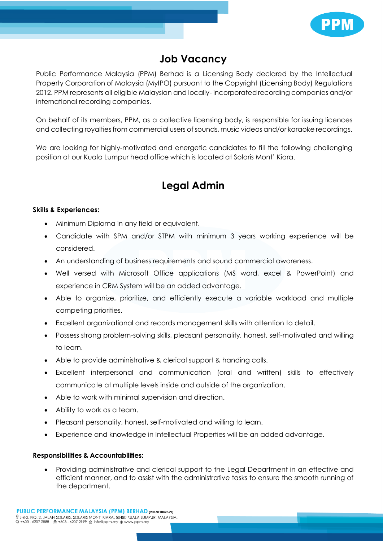

## **Job Vacancy**

Public Performance Malaysia (PPM) Berhad is a Licensing Body declared by the Intellectual Property Corporation of Malaysia (MyIPO) pursuant to the Copyright (Licensing Body) Regulations 2012. PPM represents all eligible Malaysian and locally- incorporatedrecording companies and/or international recording companies.

On behalf of its members, PPM, as a collective licensing body, is responsible for issuing licences and collecting royalties from commercial users of sounds, music videos and/or karaoke recordings.

We are looking for highly-motivated and energetic candidates to fill the following challenging position at our Kuala Lumpur head office which is located at Solaris Mont' Kiara.

## **Legal Admin**

## **Skills & Experiences:**

- Minimum Diploma in any field or equivalent.
- Candidate with SPM and/or STPM with minimum 3 years working experience will be considered.
- An understanding of business requirements and sound commercial awareness.
- Well versed with Microsoft Office applications (MS word, excel & PowerPoint) and experience in CRM System will be an added advantage.
- Able to organize, prioritize, and efficiently execute a variable workload and multiple competing priorities.
- Excellent organizational and records management skills with attention to detail.
- Possess strong problem-solving skills, pleasant personality, honest, self-motivated and willing to learn.
- Able to provide administrative & clerical support & handing calls.
- Excellent interpersonal and communication (oral and written) skills to effectively communicate at multiple levels inside and outside of the organization.
- Able to work with minimal supervision and direction.
- Ability to work as a team.
- Pleasant personality, honest, self-motivated and willing to learn.
- Experience and knowledge in Intellectual Properties will be an added advantage.

## **Responsibilities & Accountabilities:**

 Providing administrative and clerical support to the Legal Department in an effective and efficient manner, and to assist with the administrative tasks to ensure the smooth running of the department.